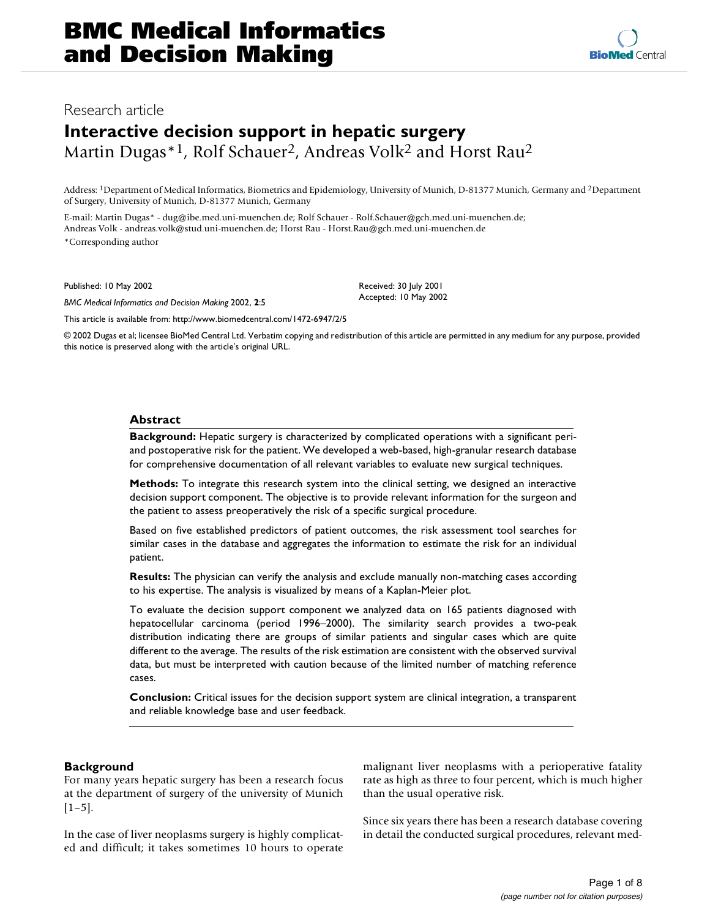## Research article

# **Interactive decision support in hepatic surgery** Martin Dugas<sup>\*1</sup>, Rolf Schauer<sup>2</sup>, Andreas Volk<sup>2</sup> and Horst Rau<sup>2</sup>

Address: 1Department of Medical Informatics, Biometrics and Epidemiology, University of Munich, D-81377 Munich, Germany and 2Department of Surgery, University of Munich, D-81377 Munich, Germany

E-mail: Martin Dugas\* - dug@ibe.med.uni-muenchen.de; Rolf Schauer - Rolf.Schauer@gch.med.uni-muenchen.de; Andreas Volk - andreas.volk@stud.uni-muenchen.de; Horst Rau - Horst.Rau@gch.med.uni-muenchen.de \*Corresponding author

Published: 10 May 2002

*BMC Medical Informatics and Decision Making* 2002, **2**:5

[This article is available from: http://www.biomedcentral.com/1472-6947/2/5](http://www.biomedcentral.com/1472-6947/2/5)

© 2002 Dugas et al; licensee BioMed Central Ltd. Verbatim copying and redistribution of this article are permitted in any medium for any purpose, provided this notice is preserved along with the article's original URL.

Received: 30 July 2001 Accepted: 10 May 2002

## **Abstract**

**Background:** Hepatic surgery is characterized by complicated operations with a significant periand postoperative risk for the patient. We developed a web-based, high-granular research database for comprehensive documentation of all relevant variables to evaluate new surgical techniques.

**Methods:** To integrate this research system into the clinical setting, we designed an interactive decision support component. The objective is to provide relevant information for the surgeon and the patient to assess preoperatively the risk of a specific surgical procedure.

Based on five established predictors of patient outcomes, the risk assessment tool searches for similar cases in the database and aggregates the information to estimate the risk for an individual patient.

**Results:** The physician can verify the analysis and exclude manually non-matching cases according to his expertise. The analysis is visualized by means of a Kaplan-Meier plot.

To evaluate the decision support component we analyzed data on 165 patients diagnosed with hepatocellular carcinoma (period 1996–2000). The similarity search provides a two-peak distribution indicating there are groups of similar patients and singular cases which are quite different to the average. The results of the risk estimation are consistent with the observed survival data, but must be interpreted with caution because of the limited number of matching reference cases.

**Conclusion:** Critical issues for the decision support system are clinical integration, a transparent and reliable knowledge base and user feedback.

## **Background**

For many years hepatic surgery has been a research focus at the department of surgery of the university of Munich  $[1-5]$ .

In the case of liver neoplasms surgery is highly complicated and difficult; it takes sometimes 10 hours to operate malignant liver neoplasms with a perioperative fatality rate as high as three to four percent, which is much higher than the usual operative risk.

Since six years there has been a research database covering in detail the conducted surgical procedures, relevant med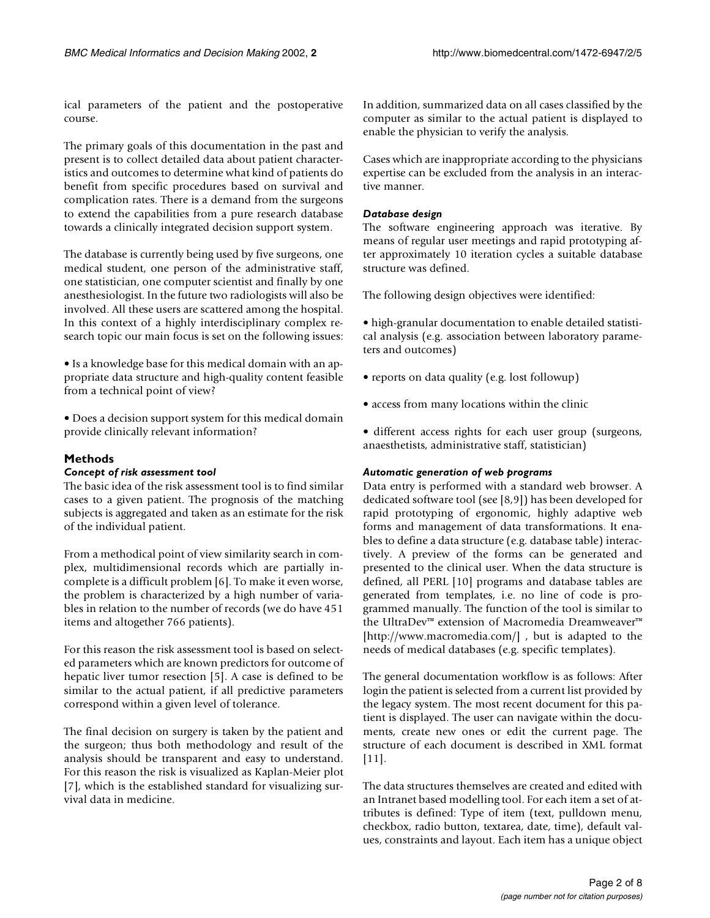ical parameters of the patient and the postoperative course.

The primary goals of this documentation in the past and present is to collect detailed data about patient characteristics and outcomes to determine what kind of patients do benefit from specific procedures based on survival and complication rates. There is a demand from the surgeons to extend the capabilities from a pure research database towards a clinically integrated decision support system.

The database is currently being used by five surgeons, one medical student, one person of the administrative staff, one statistician, one computer scientist and finally by one anesthesiologist. In the future two radiologists will also be involved. All these users are scattered among the hospital. In this context of a highly interdisciplinary complex research topic our main focus is set on the following issues:

• Is a knowledge base for this medical domain with an appropriate data structure and high-quality content feasible from a technical point of view?

• Does a decision support system for this medical domain provide clinically relevant information?

## **Methods**

### *Concept of risk assessment tool*

The basic idea of the risk assessment tool is to find similar cases to a given patient. The prognosis of the matching subjects is aggregated and taken as an estimate for the risk of the individual patient.

From a methodical point of view similarity search in complex, multidimensional records which are partially incomplete is a difficult problem [6]. To make it even worse, the problem is characterized by a high number of variables in relation to the number of records (we do have 451 items and altogether 766 patients).

For this reason the risk assessment tool is based on selected parameters which are known predictors for outcome of hepatic liver tumor resection [5]. A case is defined to be similar to the actual patient, if all predictive parameters correspond within a given level of tolerance.

The final decision on surgery is taken by the patient and the surgeon; thus both methodology and result of the analysis should be transparent and easy to understand. For this reason the risk is visualized as Kaplan-Meier plot [7], which is the established standard for visualizing survival data in medicine.

In addition, summarized data on all cases classified by the computer as similar to the actual patient is displayed to enable the physician to verify the analysis.

Cases which are inappropriate according to the physicians expertise can be excluded from the analysis in an interactive manner.

#### *Database design*

The software engineering approach was iterative. By means of regular user meetings and rapid prototyping after approximately 10 iteration cycles a suitable database structure was defined.

The following design objectives were identified:

• high-granular documentation to enable detailed statistical analysis (e.g. association between laboratory parameters and outcomes)

• reports on data quality (e.g. lost followup)

• access from many locations within the clinic

• different access rights for each user group (surgeons, anaesthetists, administrative staff, statistician)

#### *Automatic generation of web programs*

Data entry is performed with a standard web browser. A dedicated software tool (see [8,9]) has been developed for rapid prototyping of ergonomic, highly adaptive web forms and management of data transformations. It enables to define a data structure (e.g. database table) interactively. A preview of the forms can be generated and presented to the clinical user. When the data structure is defined, all PERL [10] programs and database tables are generated from templates, i.e. no line of code is programmed manually. The function of the tool is similar to [the UltraDev™ extension of Macromedia Dreamweaver™](http://www.macromedia.com/) [http://www.macromedia.com/], but is adapted to the needs of medical databases (e.g. specific templates).

The general documentation workflow is as follows: After login the patient is selected from a current list provided by the legacy system. The most recent document for this patient is displayed. The user can navigate within the documents, create new ones or edit the current page. The structure of each document is described in XML format [11].

The data structures themselves are created and edited with an Intranet based modelling tool. For each item a set of attributes is defined: Type of item (text, pulldown menu, checkbox, radio button, textarea, date, time), default values, constraints and layout. Each item has a unique object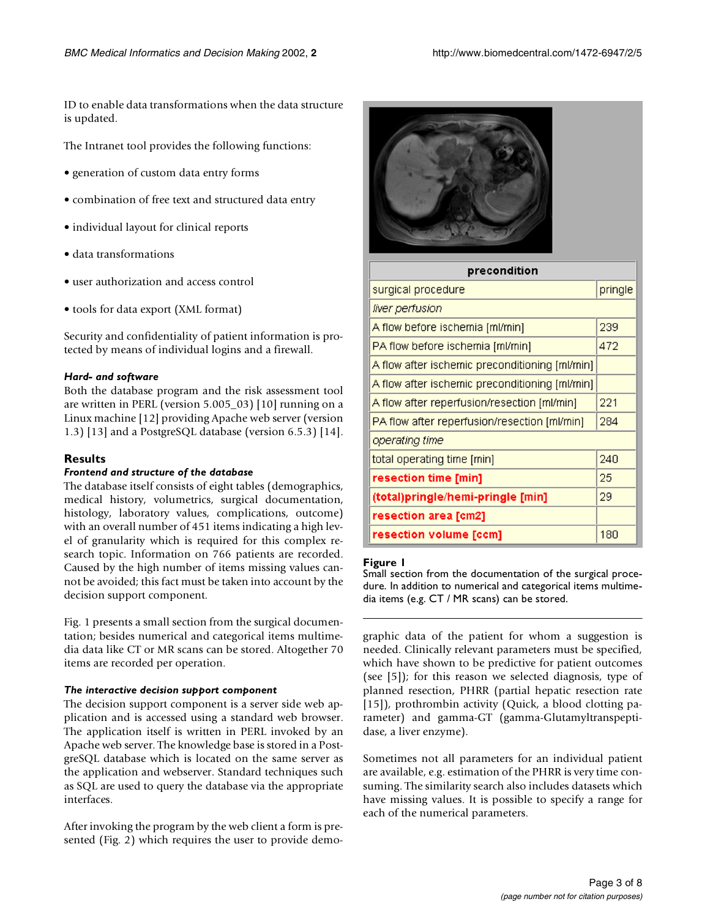ID to enable data transformations when the data structure is updated.

The Intranet tool provides the following functions:

- generation of custom data entry forms
- combination of free text and structured data entry
- individual layout for clinical reports
- data transformations
- user authorization and access control
- tools for data export (XML format)

Security and confidentiality of patient information is protected by means of individual logins and a firewall.

### *Hard- and software*

Both the database program and the risk assessment tool are written in PERL (version 5.005\_03) [10] running on a Linux machine [12] providing Apache web server (version 1.3) [13] and a PostgreSQL database (version 6.5.3) [14].

## **Results**

#### *Frontend and structure of the database*

The database itself consists of eight tables (demographics, medical history, volumetrics, surgical documentation, histology, laboratory values, complications, outcome) with an overall number of 451 items indicating a high level of granularity which is required for this complex research topic. Information on 766 patients are recorded. Caused by the high number of items missing values cannot be avoided; this fact must be taken into account by the decision support component.

Fig. 1 presents a small section from the surgical documentation; besides numerical and categorical items multimedia data like CT or MR scans can be stored. Altogether 70 items are recorded per operation.

#### *The interactive decision support component*

The decision support component is a server side web application and is accessed using a standard web browser. The application itself is written in PERL invoked by an Apache web server. The knowledge base is stored in a PostgreSQL database which is located on the same server as the application and webserver. Standard techniques such as SQL are used to query the database via the appropriate interfaces.

After invoking the program by the web client a form is presented (Fig. 2) which requires the user to provide demo-



| precondition                                   |         |  |  |  |  |  |  |
|------------------------------------------------|---------|--|--|--|--|--|--|
| surgical procedure                             | pringle |  |  |  |  |  |  |
| liver perfusion                                |         |  |  |  |  |  |  |
| A flow before ischemia [ml/min]                | 239     |  |  |  |  |  |  |
| PA flow before ischemia [ml/min]               | 472     |  |  |  |  |  |  |
| A flow after ischemic preconditioning [ml/min] |         |  |  |  |  |  |  |
| A flow after ischemic preconditioning [ml/min] |         |  |  |  |  |  |  |
| A flow after reperfusion/resection [ml/min]    | 221     |  |  |  |  |  |  |
| PA flow after reperfusion/resection [ml/min]   | 284     |  |  |  |  |  |  |
| operating time                                 |         |  |  |  |  |  |  |
| total operating time [min]                     | 240     |  |  |  |  |  |  |
| resection time [min]                           | 25      |  |  |  |  |  |  |
| (total)pringle/hemi-pringle [min]              | 29      |  |  |  |  |  |  |
| resection area [cm2]                           |         |  |  |  |  |  |  |
| resection volume [ccm]                         | 180     |  |  |  |  |  |  |

#### **Figure 1**

Small section from the documentation of the surgical procedure. In addition to numerical and categorical items multimedia items (e.g. CT / MR scans) can be stored.

graphic data of the patient for whom a suggestion is needed. Clinically relevant parameters must be specified, which have shown to be predictive for patient outcomes (see [5]); for this reason we selected diagnosis, type of planned resection, PHRR (partial hepatic resection rate [15]), prothrombin activity (Quick, a blood clotting parameter) and gamma-GT (gamma-Glutamyltranspeptidase, a liver enzyme).

Sometimes not all parameters for an individual patient are available, e.g. estimation of the PHRR is very time consuming. The similarity search also includes datasets which have missing values. It is possible to specify a range for each of the numerical parameters.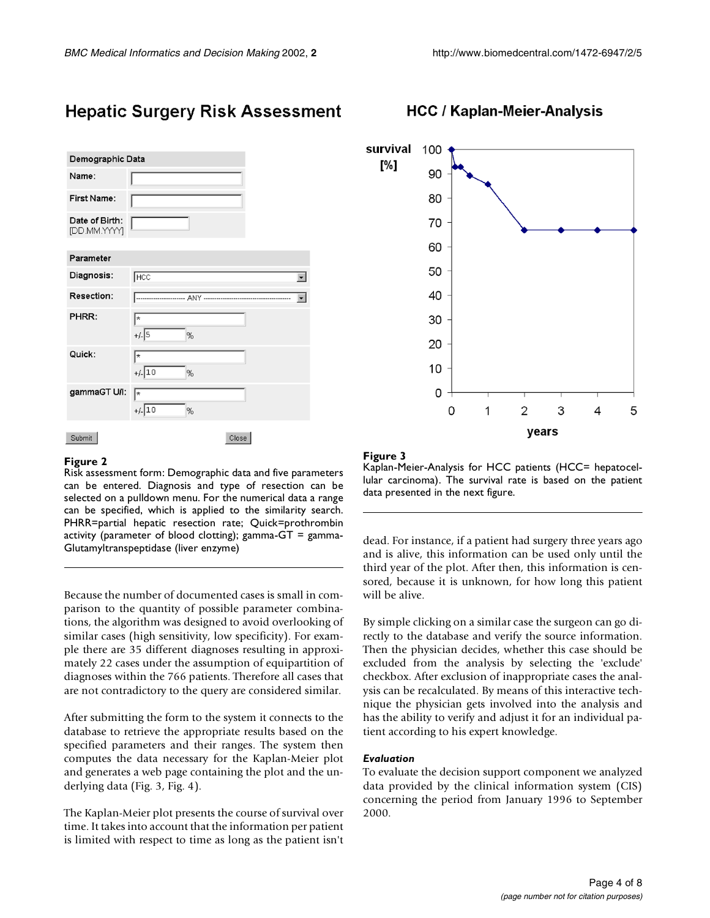# **Hepatic Surgery Risk Assessment**

| Demographic Data               |                     |                          |
|--------------------------------|---------------------|--------------------------|
| Name:                          |                     |                          |
| First Name:                    |                     |                          |
| Date of Birth:<br>[DD.MM.YYYY] |                     |                          |
| Parameter                      |                     |                          |
| Diagnosis:                     | <b>HCC</b>          | ۰                        |
| Resection:                     | <b>ANY ----</b>     | $\overline{\phantom{0}}$ |
| PHRR:                          | ∤∗<br>$+/-$ 5<br>%  |                          |
| Quick:                         | l*<br>$+/-$ 10<br>% |                          |
| gammaGT U/I:                   | ŀ<br>$+/-$ 10<br>%  |                          |
| Submit                         | Close               |                          |

#### **Figure 2**

Risk assessment form: Demographic data and five parameters can be entered. Diagnosis and type of resection can be selected on a pulldown menu. For the numerical data a range can be specified, which is applied to the similarity search. PHRR=partial hepatic resection rate; Quick=prothrombin activity (parameter of blood clotting); gamma-GT = gamma-Glutamyltranspeptidase (liver enzyme)

Because the number of documented cases is small in comparison to the quantity of possible parameter combinations, the algorithm was designed to avoid overlooking of similar cases (high sensitivity, low specificity). For example there are 35 different diagnoses resulting in approximately 22 cases under the assumption of equipartition of diagnoses within the 766 patients. Therefore all cases that are not contradictory to the query are considered similar.

After submitting the form to the system it connects to the database to retrieve the appropriate results based on the specified parameters and their ranges. The system then computes the data necessary for the Kaplan-Meier plot and generates a web page containing the plot and the underlying data (Fig. 3, Fig. 4).

The Kaplan-Meier plot presents the course of survival over time. It takes into account that the information per patient is limited with respect to time as long as the patient isn't

## **HCC / Kaplan-Meier-Analysis**



#### **Figure 3**

Kaplan-Meier-Analysis for HCC patients (HCC= hepatocellular carcinoma). The survival rate is based on the patient data presented in the next figure.

dead. For instance, if a patient had surgery three years ago and is alive, this information can be used only until the third year of the plot. After then, this information is censored, because it is unknown, for how long this patient will be alive.

By simple clicking on a similar case the surgeon can go directly to the database and verify the source information. Then the physician decides, whether this case should be excluded from the analysis by selecting the 'exclude' checkbox. After exclusion of inappropriate cases the analysis can be recalculated. By means of this interactive technique the physician gets involved into the analysis and has the ability to verify and adjust it for an individual patient according to his expert knowledge.

## *Evaluation*

To evaluate the decision support component we analyzed data provided by the clinical information system (CIS) concerning the period from January 1996 to September 2000.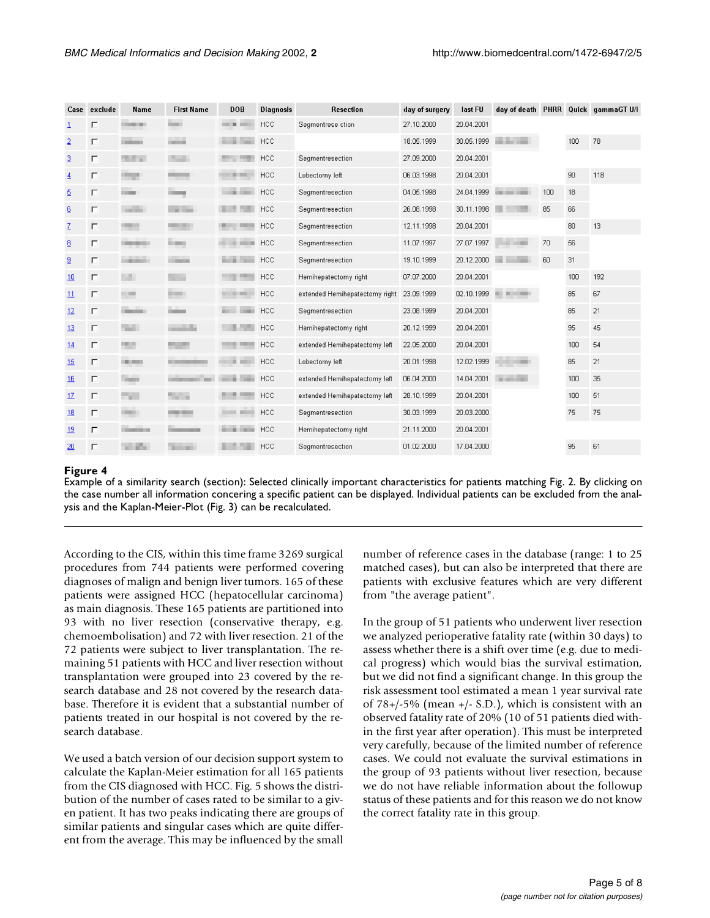| Case           | exclude | Name               | <b>First Name</b> | <b>DOB</b>        | <b>Diagnosis</b> | <b>Resection</b>               | day of surgery | last FU    |                       |     |     | day of death PHRR Quick gammaGT U/I |
|----------------|---------|--------------------|-------------------|-------------------|------------------|--------------------------------|----------------|------------|-----------------------|-----|-----|-------------------------------------|
|                | П       | <b>COLOR</b>       | <b>Service</b>    | <b>COLOR</b>      | <b>HCC</b>       | Segmentrese ction              | 27.10.2000     | 20.04.2001 |                       |     |     |                                     |
| $\overline{2}$ | П       |                    | -                 |                   | <b>HCC</b>       |                                | 18.05.1999     | 30.05.1999 |                       |     | 100 | 78                                  |
| 3              | П       | <b>Service</b>     | <b>The County</b> |                   | <b>HCC</b>       | Segmentresection               | 27.09.2000     | 20.04.2001 |                       |     |     |                                     |
| $\overline{4}$ | П       | <b>Contract</b>    | <b>CONTRACTOR</b> | ---               | <b>HCC</b>       | Lobectomy left                 | 06.03.1998     | 20.04.2001 |                       |     | 90  | 118                                 |
| $\overline{5}$ | п       | <b>COLOR</b>       |                   | <b>START</b>      | <b>HCC</b>       | Segmentresection               | 04.05.1998     | 24.04.1999 | <b>CALL CALL CARD</b> | 100 | 18  |                                     |
| 6              | П       | <b>CONTRACTOR</b>  | - 11              |                   | <b>HCC</b>       | Segmentresection               | 26.08.1998     | 30.11.1998 |                       | 85  | 66  |                                     |
| Z              | П       |                    |                   |                   | <b>HCC</b>       | Segmentresection               | 12.11.1998     | 20.04.2001 |                       |     | 80  | 13                                  |
| 8              | п       | <b>COMPANY</b>     | <b>B 800</b>      | ---               | <b>HCC</b>       | Segmentresection               | 11.07.1997     | 27.07.1997 |                       | 70  | 56  |                                     |
| $\overline{a}$ | П       | <b>Carried Co.</b> |                   | and in            | <b>HCC</b>       | Segmentresection               | 19.10.1999     | 20.12.2000 |                       | 60  | 31  |                                     |
| 10             | П       | u.                 |                   |                   | <b>HCC</b>       | Hemihepatectomy right          | 07.07.2000     | 20.04.2001 |                       |     | 100 | 192                                 |
| 11             | П       |                    |                   |                   | <b>HCC</b>       | extended Hemihepatectomy right | 23.09.1999     | 02.10.1999 | .                     |     | 85  | 67                                  |
| 12             | П       | <b>STATISTICS</b>  | $-$               | <b>STORY STAR</b> | <b>HCC</b>       | Segmentresection               | 23.08.1999     | 20.04.2001 |                       |     | 85  | 21                                  |
| 13             | П       | Total C            |                   |                   | <b>HCC</b>       | Hemihepatectomy right          | 20.12.1999     | 20.04.2001 |                       |     | 95  | 45                                  |
| 14             | П       | <b>COLOR</b>       | . .               |                   | <b>HCC</b>       | extended Hemihepatectomy left  | 22.05.2000     | 20.04.2001 |                       |     | 100 | 54                                  |
| 15             | П       | <b>CALCULATION</b> |                   | u.                | <b>HCC</b>       | Lobectomy left                 | 20.01.1998     | 12.02.1999 |                       |     | 85  | 21                                  |
| 16             | П       | <b>THEFT</b>       |                   |                   | <b>HCC</b>       | extended Hemihepatectomy left  | 06.04.2000     | 14.04.2001 |                       |     | 100 | 35                                  |
| 17             | П       | <b>The Co</b>      | The Corporation   |                   | <b>HCC</b>       | extended Hemihepatectomy left  | 28.10.1999     | 20.04.2001 |                       |     | 100 | 51                                  |
| 18             | П       | <b>CONTRACT</b>    |                   |                   | HCC              | Segmentresection               | 30.03.1999     | 20.03.2000 |                       |     | 75  | 75                                  |
| 19             | П       | <b>STATISTICS</b>  |                   | <b>STATISTICS</b> | <b>HCC</b>       | Hemihepatectomy right          | 21.11.2000     | 20.04.2001 |                       |     |     |                                     |
| 20             | П       | a.                 | m                 |                   | <b>HCC</b>       | Segmentresection               | 01.02.2000     | 17.04.2000 |                       |     | 95  | 61                                  |

## **Figure 4**

Example of a similarity search (section): Selected clinically important characteristics for patients matching Fig. 2. By clicking on the case number all information concering a specific patient can be displayed. Individual patients can be excluded from the analysis and the Kaplan-Meier-Plot (Fig. 3) can be recalculated.

According to the CIS, within this time frame 3269 surgical procedures from 744 patients were performed covering diagnoses of malign and benign liver tumors. 165 of these patients were assigned HCC (hepatocellular carcinoma) as main diagnosis. These 165 patients are partitioned into 93 with no liver resection (conservative therapy, e.g. chemoembolisation) and 72 with liver resection. 21 of the 72 patients were subject to liver transplantation. The remaining 51 patients with HCC and liver resection without transplantation were grouped into 23 covered by the research database and 28 not covered by the research database. Therefore it is evident that a substantial number of patients treated in our hospital is not covered by the research database.

We used a batch version of our decision support system to calculate the Kaplan-Meier estimation for all 165 patients from the CIS diagnosed with HCC. Fig. 5 shows the distribution of the number of cases rated to be similar to a given patient. It has two peaks indicating there are groups of similar patients and singular cases which are quite different from the average. This may be influenced by the small number of reference cases in the database (range: 1 to 25 matched cases), but can also be interpreted that there are patients with exclusive features which are very different from "the average patient".

In the group of 51 patients who underwent liver resection we analyzed perioperative fatality rate (within 30 days) to assess whether there is a shift over time (e.g. due to medical progress) which would bias the survival estimation, but we did not find a significant change. In this group the risk assessment tool estimated a mean 1 year survival rate of  $78+/-5\%$  (mean  $+/-$  S.D.), which is consistent with an observed fatality rate of 20% (10 of 51 patients died within the first year after operation). This must be interpreted very carefully, because of the limited number of reference cases. We could not evaluate the survival estimations in the group of 93 patients without liver resection, because we do not have reliable information about the followup status of these patients and for this reason we do not know the correct fatality rate in this group.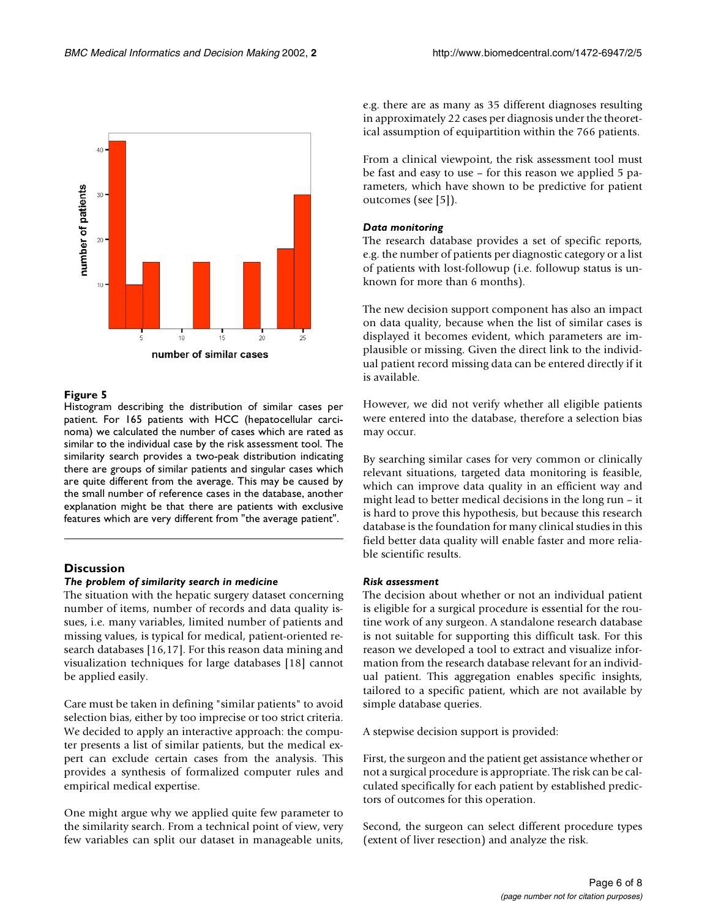

## **Figure 5**

Histogram describing the distribution of similar cases per patient. For 165 patients with HCC (hepatocellular carcinoma) we calculated the number of cases which are rated as similar to the individual case by the risk assessment tool. The similarity search provides a two-peak distribution indicating there are groups of similar patients and singular cases which are quite different from the average. This may be caused by the small number of reference cases in the database, another explanation might be that there are patients with exclusive features which are very different from "the average patient".

## **Discussion**

#### *The problem of similarity search in medicine*

The situation with the hepatic surgery dataset concerning number of items, number of records and data quality issues, i.e. many variables, limited number of patients and missing values, is typical for medical, patient-oriented research databases [16,17]. For this reason data mining and visualization techniques for large databases [18] cannot be applied easily.

Care must be taken in defining "similar patients" to avoid selection bias, either by too imprecise or too strict criteria. We decided to apply an interactive approach: the computer presents a list of similar patients, but the medical expert can exclude certain cases from the analysis. This provides a synthesis of formalized computer rules and empirical medical expertise.

One might argue why we applied quite few parameter to the similarity search. From a technical point of view, very few variables can split our dataset in manageable units,

e.g. there are as many as 35 different diagnoses resulting in approximately 22 cases per diagnosis under the theoretical assumption of equipartition within the 766 patients.

From a clinical viewpoint, the risk assessment tool must be fast and easy to use – for this reason we applied 5 parameters, which have shown to be predictive for patient outcomes (see [5]).

#### *Data monitoring*

The research database provides a set of specific reports, e.g. the number of patients per diagnostic category or a list of patients with lost-followup (i.e. followup status is unknown for more than 6 months).

The new decision support component has also an impact on data quality, because when the list of similar cases is displayed it becomes evident, which parameters are implausible or missing. Given the direct link to the individual patient record missing data can be entered directly if it is available.

However, we did not verify whether all eligible patients were entered into the database, therefore a selection bias may occur.

By searching similar cases for very common or clinically relevant situations, targeted data monitoring is feasible, which can improve data quality in an efficient way and might lead to better medical decisions in the long run – it is hard to prove this hypothesis, but because this research database is the foundation for many clinical studies in this field better data quality will enable faster and more reliable scientific results.

### *Risk assessment*

The decision about whether or not an individual patient is eligible for a surgical procedure is essential for the routine work of any surgeon. A standalone research database is not suitable for supporting this difficult task. For this reason we developed a tool to extract and visualize information from the research database relevant for an individual patient. This aggregation enables specific insights, tailored to a specific patient, which are not available by simple database queries.

A stepwise decision support is provided:

First, the surgeon and the patient get assistance whether or not a surgical procedure is appropriate. The risk can be calculated specifically for each patient by established predictors of outcomes for this operation.

Second, the surgeon can select different procedure types (extent of liver resection) and analyze the risk.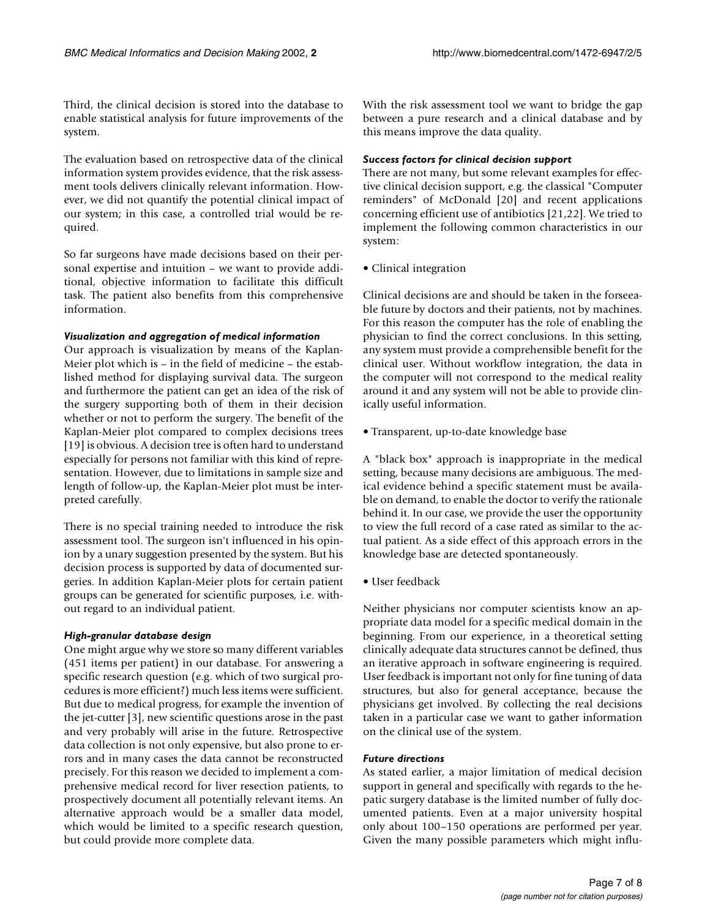Third, the clinical decision is stored into the database to enable statistical analysis for future improvements of the system.

The evaluation based on retrospective data of the clinical information system provides evidence, that the risk assessment tools delivers clinically relevant information. However, we did not quantify the potential clinical impact of our system; in this case, a controlled trial would be required.

So far surgeons have made decisions based on their personal expertise and intuition – we want to provide additional, objective information to facilitate this difficult task. The patient also benefits from this comprehensive information.

### *Visualization and aggregation of medical information*

Our approach is visualization by means of the Kaplan-Meier plot which is – in the field of medicine – the established method for displaying survival data. The surgeon and furthermore the patient can get an idea of the risk of the surgery supporting both of them in their decision whether or not to perform the surgery. The benefit of the Kaplan-Meier plot compared to complex decisions trees [19] is obvious. A decision tree is often hard to understand especially for persons not familiar with this kind of representation. However, due to limitations in sample size and length of follow-up, the Kaplan-Meier plot must be interpreted carefully.

There is no special training needed to introduce the risk assessment tool. The surgeon isn't influenced in his opinion by a unary suggestion presented by the system. But his decision process is supported by data of documented surgeries. In addition Kaplan-Meier plots for certain patient groups can be generated for scientific purposes, i.e. without regard to an individual patient.

## *High-granular database design*

One might argue why we store so many different variables (451 items per patient) in our database. For answering a specific research question (e.g. which of two surgical procedures is more efficient?) much less items were sufficient. But due to medical progress, for example the invention of the jet-cutter [3], new scientific questions arose in the past and very probably will arise in the future. Retrospective data collection is not only expensive, but also prone to errors and in many cases the data cannot be reconstructed precisely. For this reason we decided to implement a comprehensive medical record for liver resection patients, to prospectively document all potentially relevant items. An alternative approach would be a smaller data model, which would be limited to a specific research question, but could provide more complete data.

With the risk assessment tool we want to bridge the gap between a pure research and a clinical database and by this means improve the data quality.

## *Success factors for clinical decision support*

There are not many, but some relevant examples for effective clinical decision support, e.g. the classical "Computer reminders" of McDonald [20] and recent applications concerning efficient use of antibiotics [21,22]. We tried to implement the following common characteristics in our system:

• Clinical integration

Clinical decisions are and should be taken in the forseeable future by doctors and their patients, not by machines. For this reason the computer has the role of enabling the physician to find the correct conclusions. In this setting, any system must provide a comprehensible benefit for the clinical user. Without workflow integration, the data in the computer will not correspond to the medical reality around it and any system will not be able to provide clinically useful information.

• Transparent, up-to-date knowledge base

A "black box" approach is inappropriate in the medical setting, because many decisions are ambiguous. The medical evidence behind a specific statement must be available on demand, to enable the doctor to verify the rationale behind it. In our case, we provide the user the opportunity to view the full record of a case rated as similar to the actual patient. As a side effect of this approach errors in the knowledge base are detected spontaneously.

• User feedback

Neither physicians nor computer scientists know an appropriate data model for a specific medical domain in the beginning. From our experience, in a theoretical setting clinically adequate data structures cannot be defined, thus an iterative approach in software engineering is required. User feedback is important not only for fine tuning of data structures, but also for general acceptance, because the physicians get involved. By collecting the real decisions taken in a particular case we want to gather information on the clinical use of the system.

## *Future directions*

As stated earlier, a major limitation of medical decision support in general and specifically with regards to the hepatic surgery database is the limited number of fully documented patients. Even at a major university hospital only about 100–150 operations are performed per year. Given the many possible parameters which might influ-